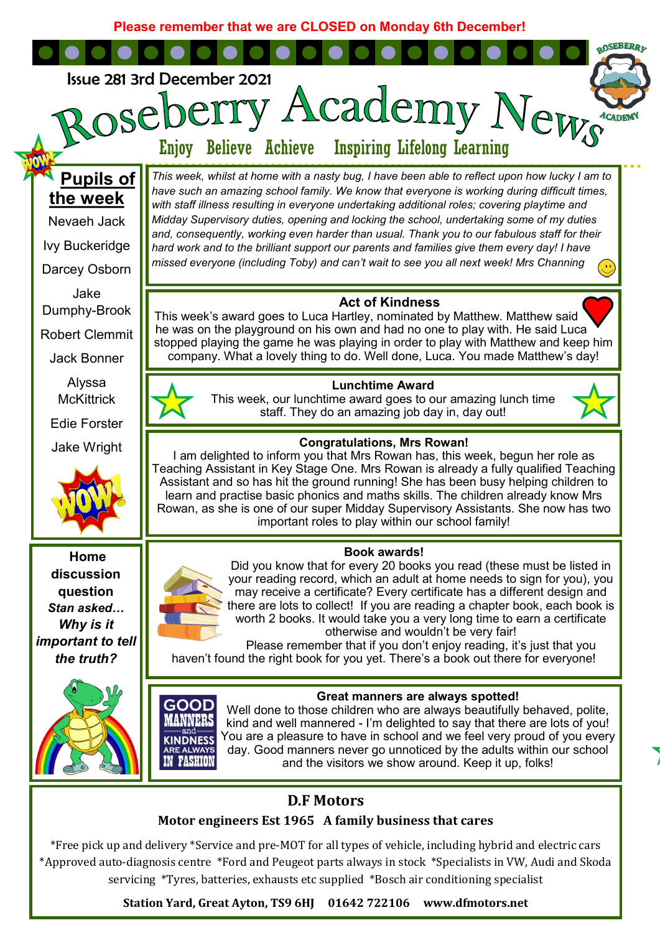**Please remember that we are CLOSED on Monday 6th December!**

**QOSEBERRI** 



# **D.F Motors**

and the visitors we show around. Keep it up, folks!

# **Motor engineers Est 1965 A family business that cares**

\*Free pick up and delivery \*Service and pre-MOT for all types of vehicle, including hybrid and electric cars \*Approved auto-diagnosis centre \*Ford and Peugeot parts always in stock \*Specialists in VW, Audi and Skoda servicing \*Tyres, batteries, exhausts etc supplied \*Bosch air conditioning specialist

**Station Yard, Great Ayton, TS9 6HJ 01642 722106 www.dfmotors.net**